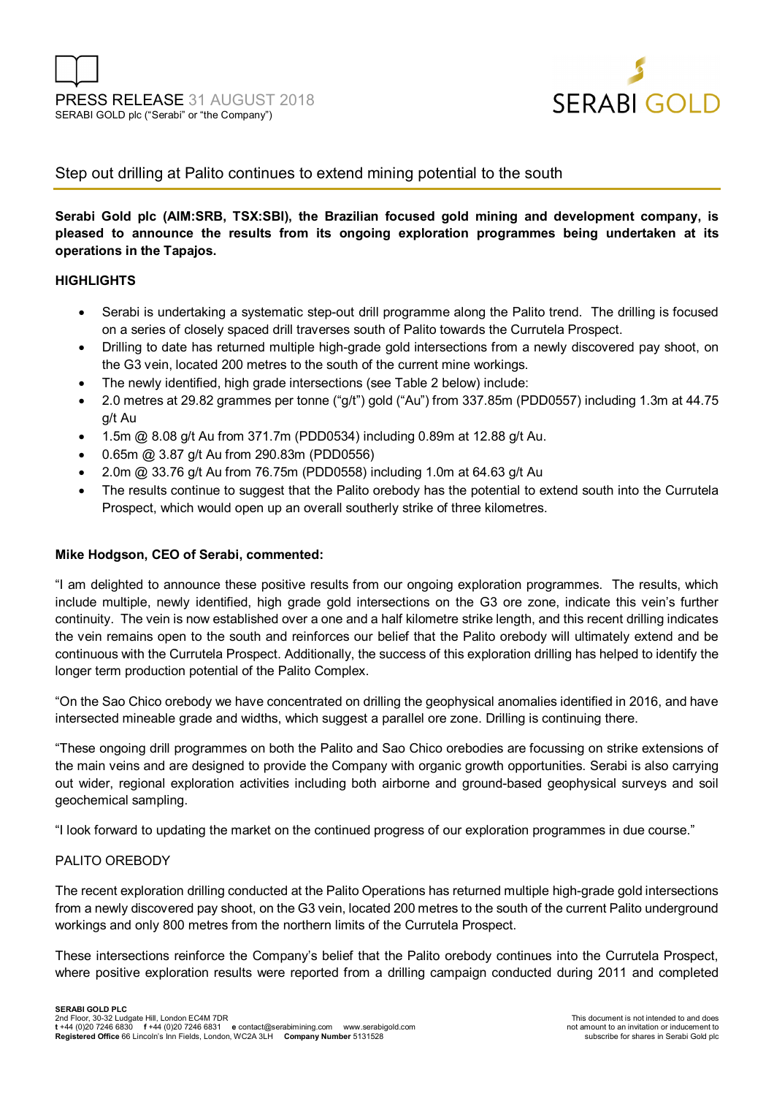

### Step out drilling at Palito continues to extend mining potential to the south

**Serabi Gold plc (AIM:SRB, TSX:SBI), the Brazilian focused gold mining and development company, is pleased to announce the results from its ongoing exploration programmes being undertaken at its operations in the Tapajos.** 

#### **HIGHLIGHTS**

- Serabi is undertaking a systematic step-out drill programme along the Palito trend. The drilling is focused on a series of closely spaced drill traverses south of Palito towards the Currutela Prospect.
- Drilling to date has returned multiple high-grade gold intersections from a newly discovered pay shoot, on the G3 vein, located 200 metres to the south of the current mine workings.
- The newly identified, high grade intersections (see Table 2 below) include:
- 2.0 metres at 29.82 grammes per tonne ("g/t") gold ("Au") from 337.85m (PDD0557) including 1.3m at 44.75 g/t Au
- 1.5m @ 8.08 g/t Au from 371.7m (PDD0534) including 0.89m at 12.88 g/t Au.
- 0.65m @ 3.87 g/t Au from 290.83m (PDD0556)
- 2.0m @ 33.76 g/t Au from 76.75m (PDD0558) including 1.0m at 64.63 g/t Au
- The results continue to suggest that the Palito orebody has the potential to extend south into the Currutela Prospect, which would open up an overall southerly strike of three kilometres.

#### **Mike Hodgson, CEO of Serabi, commented:**

"I am delighted to announce these positive results from our ongoing exploration programmes. The results, which include multiple, newly identified, high grade gold intersections on the G3 ore zone, indicate this vein's further continuity. The vein is now established over a one and a half kilometre strike length, and this recent drilling indicates the vein remains open to the south and reinforces our belief that the Palito orebody will ultimately extend and be continuous with the Currutela Prospect. Additionally, the success of this exploration drilling has helped to identify the longer term production potential of the Palito Complex.

"On the Sao Chico orebody we have concentrated on drilling the geophysical anomalies identified in 2016, and have intersected mineable grade and widths, which suggest a parallel ore zone. Drilling is continuing there.

"These ongoing drill programmes on both the Palito and Sao Chico orebodies are focussing on strike extensions of the main veins and are designed to provide the Company with organic growth opportunities. Serabi is also carrying out wider, regional exploration activities including both airborne and ground-based geophysical surveys and soil geochemical sampling.

"I look forward to updating the market on the continued progress of our exploration programmes in due course."

#### PALITO OREBODY

The recent exploration drilling conducted at the Palito Operations has returned multiple high-grade gold intersections from a newly discovered pay shoot, on the G3 vein, located 200 metres to the south of the current Palito underground workings and only 800 metres from the northern limits of the Currutela Prospect.

These intersections reinforce the Company's belief that the Palito orebody continues into the Currutela Prospect, where positive exploration results were reported from a drilling campaign conducted during 2011 and completed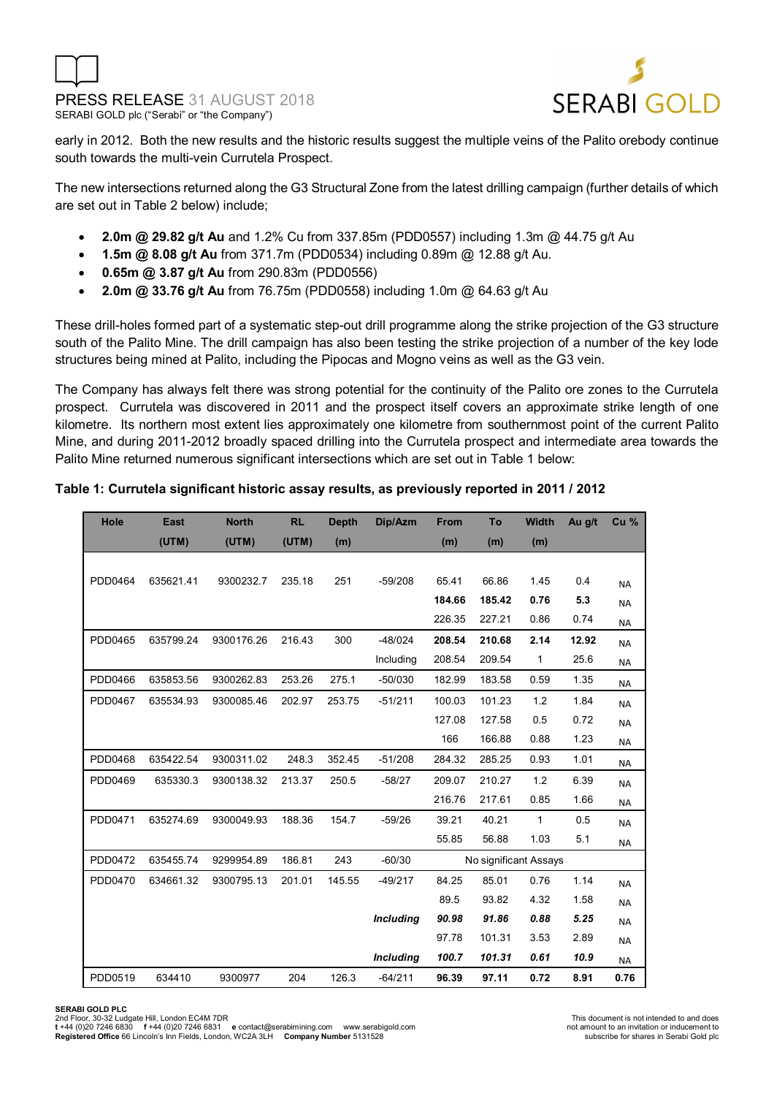



early in 2012. Both the new results and the historic results suggest the multiple veins of the Palito orebody continue south towards the multi-vein Currutela Prospect.

The new intersections returned along the G3 Structural Zone from the latest drilling campaign (further details of which are set out in Table 2 below) include;

- **2.0m @ 29.82 g/t Au** and 1.2% Cu from 337.85m (PDD0557) including 1.3m @ 44.75 g/t Au
- **1.5m @ 8.08 g/t Au** from 371.7m (PDD0534) including 0.89m @ 12.88 g/t Au.
- **0.65m @ 3.87 g/t Au** from 290.83m (PDD0556)
- **2.0m @ 33.76 g/t Au** from 76.75m (PDD0558) including 1.0m @ 64.63 g/t Au

These drill-holes formed part of a systematic step-out drill programme along the strike projection of the G3 structure south of the Palito Mine. The drill campaign has also been testing the strike projection of a number of the key lode structures being mined at Palito, including the Pipocas and Mogno veins as well as the G3 vein.

The Company has always felt there was strong potential for the continuity of the Palito ore zones to the Currutela prospect. Currutela was discovered in 2011 and the prospect itself covers an approximate strike length of one kilometre. Its northern most extent lies approximately one kilometre from southernmost point of the current Palito Mine, and during 2011-2012 broadly spaced drilling into the Currutela prospect and intermediate area towards the Palito Mine returned numerous significant intersections which are set out in Table 1 below:

#### **Table 1: Currutela significant historic assay results, as previously reported in 2011 / 2012**

| Hole    | <b>East</b> | <b>North</b> | <b>RL</b> | <b>Depth</b> | Dip/Azm          | From   | To                    | <b>Width</b> | Au g/t | Cu <sub>%</sub> |
|---------|-------------|--------------|-----------|--------------|------------------|--------|-----------------------|--------------|--------|-----------------|
|         | (UTM)       | (UTM)        | (UTM)     | (m)          |                  | (m)    | (m)                   | (m)          |        |                 |
|         |             |              |           |              |                  |        |                       |              |        |                 |
| PDD0464 | 635621.41   | 9300232.7    | 235.18    | 251          | $-59/208$        | 65.41  | 66.86                 | 1.45         | 0.4    | <b>NA</b>       |
|         |             |              |           |              |                  | 184.66 | 185.42                | 0.76         | 5.3    | <b>NA</b>       |
|         |             |              |           |              |                  | 226.35 | 227.21                | 0.86         | 0.74   | <b>NA</b>       |
| PDD0465 | 635799.24   | 9300176.26   | 216.43    | 300          | $-48/024$        | 208.54 | 210.68                | 2.14         | 12.92  | <b>NA</b>       |
|         |             |              |           |              | Including        | 208.54 | 209.54                | 1            | 25.6   | <b>NA</b>       |
| PDD0466 | 635853.56   | 9300262.83   | 253.26    | 275.1        | $-50/030$        | 182.99 | 183.58                | 0.59         | 1.35   | <b>NA</b>       |
| PDD0467 | 635534.93   | 9300085.46   | 202.97    | 253.75       | $-51/211$        | 100.03 | 101.23                | 1.2          | 1.84   | <b>NA</b>       |
|         |             |              |           |              |                  | 127.08 | 127.58                | 0.5          | 0.72   | <b>NA</b>       |
|         |             |              |           |              |                  | 166    | 166.88                | 0.88         | 1.23   | <b>NA</b>       |
| PDD0468 | 635422.54   | 9300311.02   | 248.3     | 352.45       | $-51/208$        | 284.32 | 285.25                | 0.93         | 1.01   | <b>NA</b>       |
| PDD0469 | 635330.3    | 9300138.32   | 213.37    | 250.5        | $-58/27$         | 209.07 | 210.27                | 1.2          | 6.39   | <b>NA</b>       |
|         |             |              |           |              |                  | 216.76 | 217.61                | 0.85         | 1.66   | <b>NA</b>       |
| PDD0471 | 635274.69   | 9300049.93   | 188.36    | 154.7        | $-59/26$         | 39.21  | 40.21                 | 1            | 0.5    | <b>NA</b>       |
|         |             |              |           |              |                  | 55.85  | 56.88                 | 1.03         | 5.1    | <b>NA</b>       |
| PDD0472 | 635455.74   | 9299954.89   | 186.81    | 243          | $-60/30$         |        | No significant Assays |              |        |                 |
| PDD0470 | 634661.32   | 9300795.13   | 201.01    | 145.55       | $-49/217$        | 84.25  | 85.01                 | 0.76         | 1.14   | <b>NA</b>       |
|         |             |              |           |              |                  | 89.5   | 93.82                 | 4.32         | 1.58   | <b>NA</b>       |
|         |             |              |           |              | <b>Including</b> | 90.98  | 91.86                 | 0.88         | 5.25   | <b>NA</b>       |
|         |             |              |           |              |                  | 97.78  | 101.31                | 3.53         | 2.89   | <b>NA</b>       |
|         |             |              |           |              | <b>Including</b> | 100.7  | 101.31                | 0.61         | 10.9   | <b>NA</b>       |
| PDD0519 | 634410      | 9300977      | 204       | 126.3        | $-64/211$        | 96.39  | 97.11                 | 0.72         | 8.91   | 0.76            |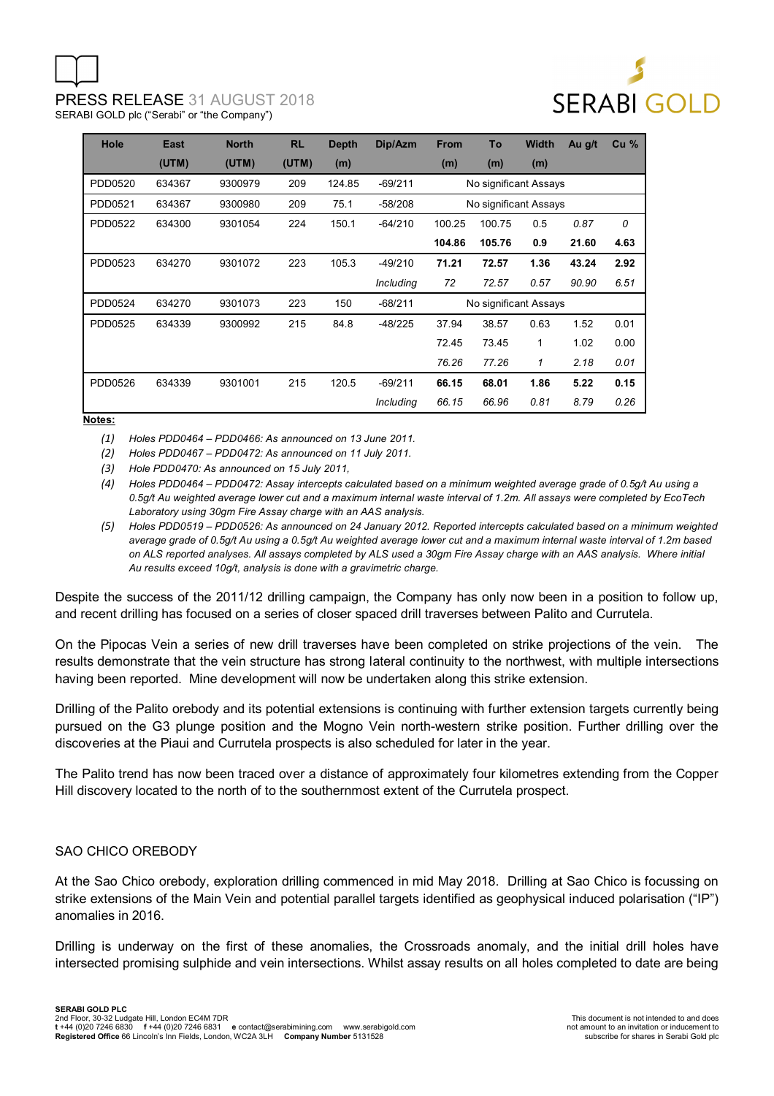

| Hole    | <b>East</b> | <b>North</b> | <b>RL</b> | <b>Depth</b> | Dip/Azm   | <b>From</b> | To                    | <b>Width</b> | Au g/t | Cu <sub>%</sub> |
|---------|-------------|--------------|-----------|--------------|-----------|-------------|-----------------------|--------------|--------|-----------------|
|         | (UTM)       | (UTM)        | (UTM)     | (m)          |           | (m)         | (m)                   | (m)          |        |                 |
| PDD0520 | 634367      | 9300979      | 209       | 124.85       | $-69/211$ |             | No significant Assays |              |        |                 |
| PDD0521 | 634367      | 9300980      | 209       | 75.1         | $-58/208$ |             | No significant Assays |              |        |                 |
| PDD0522 | 634300      | 9301054      | 224       | 150.1        | $-64/210$ | 100.25      | 100.75                | 0.5          | 0.87   | 0               |
|         |             |              |           |              |           | 104.86      | 105.76                | 0.9          | 21.60  | 4.63            |
| PDD0523 | 634270      | 9301072      | 223       | 105.3        | $-49/210$ | 71.21       | 72.57                 | 1.36         | 43.24  | 2.92            |
|         |             |              |           |              | Including | 72          | 72.57                 | 0.57         | 90.90  | 6.51            |
| PDD0524 | 634270      | 9301073      | 223       | 150          | $-68/211$ |             | No significant Assays |              |        |                 |
| PDD0525 | 634339      | 9300992      | 215       | 84.8         | $-48/225$ | 37.94       | 38.57                 | 0.63         | 1.52   | 0.01            |
|         |             |              |           |              |           | 72.45       | 73.45                 | 1            | 1.02   | 0.00            |
|         |             |              |           |              |           | 76.26       | 77.26                 | 1            | 2.18   | 0.01            |
| PDD0526 | 634339      | 9301001      | 215       | 120.5        | $-69/211$ | 66.15       | 68.01                 | 1.86         | 5.22   | 0.15            |
|         |             |              |           |              | Including | 66.15       | 66.96                 | 0.81         | 8.79   | 0.26            |

**Notes:**

*(1) Holes PDD0464 – PDD0466: As announced on 13 June 2011.* 

*(2) Holes PDD0467 – PDD0472: As announced on 11 July 2011.* 

*(3) Hole PDD0470: As announced on 15 July 2011,* 

*(4) Holes PDD0464 – PDD0472: Assay intercepts calculated based on a minimum weighted average grade of 0.5g/t Au using a 0.5g/t Au weighted average lower cut and a maximum internal waste interval of 1.2m. All assays were completed by EcoTech Laboratory using 30gm Fire Assay charge with an AAS analysis.* 

*(5) Holes PDD0519 – PDD0526: As announced on 24 January 2012. Reported intercepts calculated based on a minimum weighted average grade of 0.5g/t Au using a 0.5g/t Au weighted average lower cut and a maximum internal waste interval of 1.2m based on ALS reported analyses. All assays completed by ALS used a 30gm Fire Assay charge with an AAS analysis. Where initial Au results exceed 10g/t, analysis is done with a gravimetric charge.* 

Despite the success of the 2011/12 drilling campaign, the Company has only now been in a position to follow up, and recent drilling has focused on a series of closer spaced drill traverses between Palito and Currutela.

On the Pipocas Vein a series of new drill traverses have been completed on strike projections of the vein. The results demonstrate that the vein structure has strong lateral continuity to the northwest, with multiple intersections having been reported. Mine development will now be undertaken along this strike extension.

Drilling of the Palito orebody and its potential extensions is continuing with further extension targets currently being pursued on the G3 plunge position and the Mogno Vein north-western strike position. Further drilling over the discoveries at the Piaui and Currutela prospects is also scheduled for later in the year.

The Palito trend has now been traced over a distance of approximately four kilometres extending from the Copper Hill discovery located to the north of to the southernmost extent of the Currutela prospect.

#### SAO CHICO OREBODY

At the Sao Chico orebody, exploration drilling commenced in mid May 2018. Drilling at Sao Chico is focussing on strike extensions of the Main Vein and potential parallel targets identified as geophysical induced polarisation ("IP") anomalies in 2016.

Drilling is underway on the first of these anomalies, the Crossroads anomaly, and the initial drill holes have intersected promising sulphide and vein intersections. Whilst assay results on all holes completed to date are being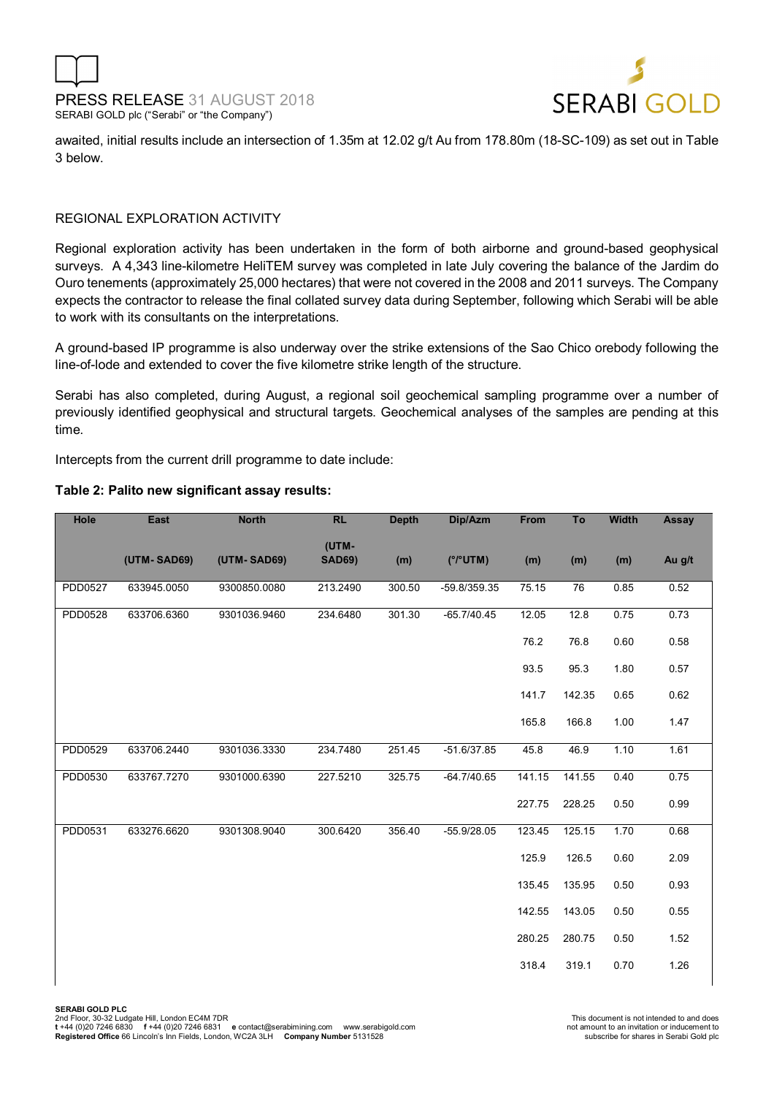



awaited, initial results include an intersection of 1.35m at 12.02 g/t Au from 178.80m (18-SC-109) as set out in Table 3 below.

#### REGIONAL EXPLORATION ACTIVITY

Regional exploration activity has been undertaken in the form of both airborne and ground-based geophysical surveys. A 4,343 line-kilometre HeliTEM survey was completed in late July covering the balance of the Jardim do Ouro tenements (approximately 25,000 hectares) that were not covered in the 2008 and 2011 surveys. The Company expects the contractor to release the final collated survey data during September, following which Serabi will be able to work with its consultants on the interpretations.

A ground-based IP programme is also underway over the strike extensions of the Sao Chico orebody following the line-of-lode and extended to cover the five kilometre strike length of the structure.

Serabi has also completed, during August, a regional soil geochemical sampling programme over a number of previously identified geophysical and structural targets. Geochemical analyses of the samples are pending at this time.

Intercepts from the current drill programme to date include:

| Hole    | <b>East</b> | <b>North</b> | <b>RL</b>              | <b>Depth</b> | Dip/Azm       | From   | To     | <b>Width</b> | Assay  |
|---------|-------------|--------------|------------------------|--------------|---------------|--------|--------|--------------|--------|
|         | (UTM-SAD69) | (UTM-SAD69)  | (UTM-<br><b>SAD69)</b> | (m)          | (°/°UTM)      | (m)    | (m)    | (m)          | Au g/t |
| PDD0527 | 633945.0050 | 9300850.0080 | 213.2490               | 300.50       | -59.8/359.35  | 75.15  | 76     | 0.85         | 0.52   |
| PDD0528 | 633706.6360 | 9301036.9460 | 234.6480               | 301.30       | $-65.7/40.45$ | 12.05  | 12.8   | 0.75         | 0.73   |
|         |             |              |                        |              |               | 76.2   | 76.8   | 0.60         | 0.58   |
|         |             |              |                        |              |               | 93.5   | 95.3   | 1.80         | 0.57   |
|         |             |              |                        |              |               | 141.7  | 142.35 | 0.65         | 0.62   |
|         |             |              |                        |              |               | 165.8  | 166.8  | 1.00         | 1.47   |
| PDD0529 | 633706.2440 | 9301036.3330 | 234.7480               | 251.45       | $-51.6/37.85$ | 45.8   | 46.9   | 1.10         | 1.61   |
| PDD0530 | 633767.7270 | 9301000.6390 | 227.5210               | 325.75       | $-64.7/40.65$ | 141.15 | 141.55 | 0.40         | 0.75   |
|         |             |              |                        |              |               | 227.75 | 228.25 | 0.50         | 0.99   |
| PDD0531 | 633276.6620 | 9301308.9040 | 300.6420               | 356.40       | $-55.9/28.05$ | 123.45 | 125.15 | 1.70         | 0.68   |
|         |             |              |                        |              |               | 125.9  | 126.5  | 0.60         | 2.09   |
|         |             |              |                        |              |               | 135.45 | 135.95 | 0.50         | 0.93   |
|         |             |              |                        |              |               | 142.55 | 143.05 | 0.50         | 0.55   |
|         |             |              |                        |              |               | 280.25 | 280.75 | 0.50         | 1.52   |
|         |             |              |                        |              |               | 318.4  | 319.1  | 0.70         | 1.26   |
|         |             |              |                        |              |               |        |        |              |        |

#### **Table 2: Palito new significant assay results:**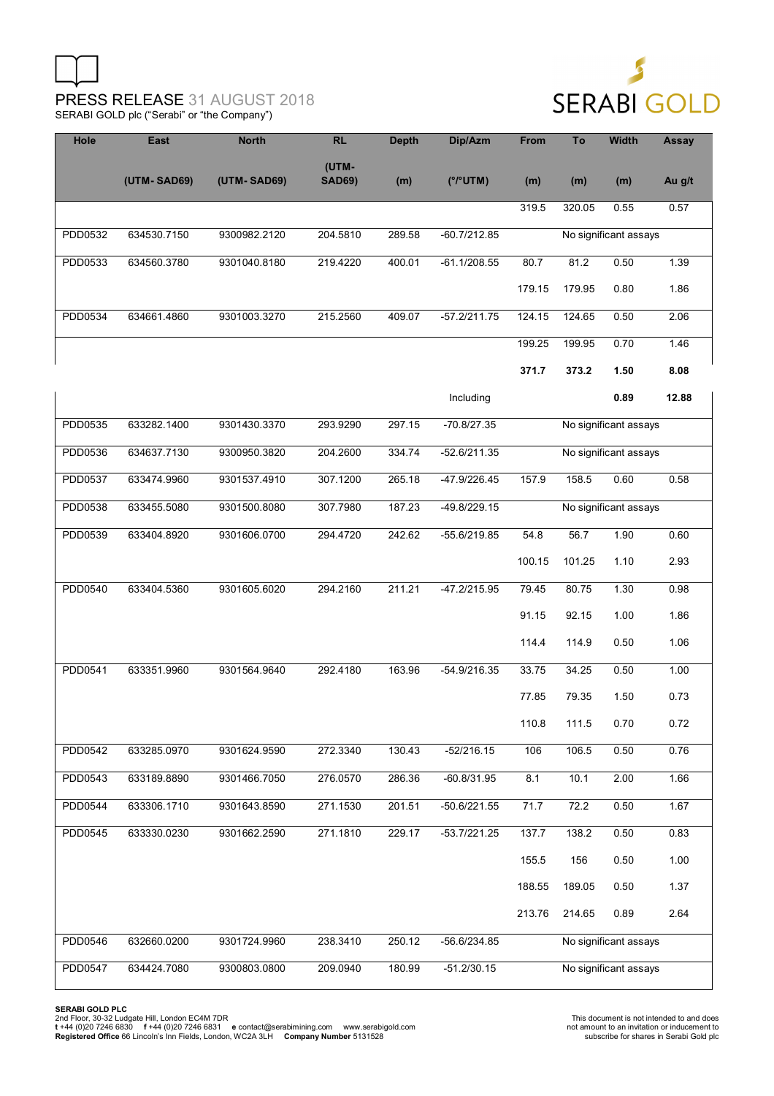

| Hole           | East        | <b>North</b> | <b>RL</b>              | <b>Depth</b> | Dip/Azm        | <b>From</b> | To                    | <b>Width</b>          | <b>Assay</b> |  |  |
|----------------|-------------|--------------|------------------------|--------------|----------------|-------------|-----------------------|-----------------------|--------------|--|--|
|                | (UTM-SAD69) | (UTM-SAD69)  | (UTM-<br><b>SAD69)</b> | (m)          | (°/°UTM)       | (m)         | (m)                   | (m)                   | Au g/t       |  |  |
|                |             |              |                        |              |                | 319.5       | 320.05                | 0.55                  | 0.57         |  |  |
| PDD0532        | 634530.7150 | 9300982.2120 | 204.5810               | 289.58       | $-60.7/212.85$ |             |                       | No significant assays |              |  |  |
| PDD0533        | 634560.3780 | 9301040.8180 | 219.4220               | 400.01       | $-61.1/208.55$ | 80.7        | 81.2                  | 0.50                  | 1.39         |  |  |
|                |             |              |                        |              |                | 179.15      | 179.95                | 0.80                  | 1.86         |  |  |
| PDD0534        | 634661.4860 | 9301003.3270 | 215.2560               | 409.07       | $-57.2/211.75$ | 124.15      | 124.65                | 0.50                  | 2.06         |  |  |
|                |             |              |                        |              |                | 199.25      | 199.95                | 0.70                  | 1.46         |  |  |
|                |             |              |                        |              |                | 371.7       | 373.2                 | 1.50                  | 8.08         |  |  |
|                |             |              |                        |              | Including      |             |                       | 0.89                  | 12.88        |  |  |
| PDD0535        | 633282.1400 | 9301430.3370 | 293.9290               | 297.15       | $-70.8/27.35$  |             |                       | No significant assays |              |  |  |
| PDD0536        | 634637.7130 | 9300950.3820 | 204.2600               | 334.74       | $-52.6/211.35$ |             |                       | No significant assays |              |  |  |
| PDD0537        | 633474.9960 | 9301537.4910 | 307.1200               | 265.18       | -47.9/226.45   | 157.9       | 158.5                 | 0.60                  | 0.58         |  |  |
| PDD0538        | 633455.5080 | 9301500.8080 | 307.7980               | 187.23       | -49.8/229.15   |             | No significant assays |                       |              |  |  |
| PDD0539        | 633404.8920 | 9301606.0700 | 294.4720               | 242.62       | $-55.6/219.85$ | 54.8        | 56.7                  | 1.90                  | 0.60         |  |  |
|                |             |              |                        |              |                | 100.15      | 101.25                | 1.10                  | 2.93         |  |  |
| PDD0540        | 633404.5360 | 9301605.6020 | 294.2160               | 211.21       | -47.2/215.95   | 79.45       | 80.75                 | 1.30                  | 0.98         |  |  |
|                |             |              |                        |              |                | 91.15       | 92.15                 | 1.00                  | 1.86         |  |  |
|                |             |              |                        |              |                | 114.4       | 114.9                 | 0.50                  | 1.06         |  |  |
| PDD0541        | 633351.9960 | 9301564.9640 | 292.4180               | 163.96       | -54.9/216.35   | 33.75       | 34.25                 | 0.50                  | 1.00         |  |  |
|                |             |              |                        |              |                | 77.85       | 79.35                 | 1.50                  | 0.73         |  |  |
|                |             |              |                        |              |                | 110.8       | 111.5                 | 0.70                  | 0.72         |  |  |
| <b>PDD0542</b> | 633285.0970 | 9301624.9590 | 272.3340               | 130.43       | $-52/216.15$   | 106         | 106.5                 | 0.50                  | 0.76         |  |  |
| PDD0543        | 633189.8890 | 9301466.7050 | 276.0570               | 286.36       | $-60.8/31.95$  | 8.1         | 10.1                  | 2.00                  | 1.66         |  |  |
| PDD0544        | 633306.1710 | 9301643.8590 | 271.1530               | 201.51       | $-50.6/221.55$ | 71.7        | 72.2                  | 0.50                  | 1.67         |  |  |
| PDD0545        | 633330.0230 | 9301662.2590 | 271.1810               | 229.17       | $-53.7/221.25$ | 137.7       | 138.2                 | 0.50                  | 0.83         |  |  |
|                |             |              |                        |              |                | 155.5       | 156                   | 0.50                  | 1.00         |  |  |
|                |             |              |                        |              |                | 188.55      | 189.05                | 0.50                  | 1.37         |  |  |
|                |             |              |                        |              |                | 213.76      | 214.65                | 0.89                  | 2.64         |  |  |
| PDD0546        | 632660.0200 | 9301724.9960 | 238.3410               | 250.12       | $-56.6/234.85$ |             |                       | No significant assays |              |  |  |
| PDD0547        | 634424.7080 | 9300803.0800 | 209.0940               | 180.99       | $-51.2/30.15$  |             |                       | No significant assays |              |  |  |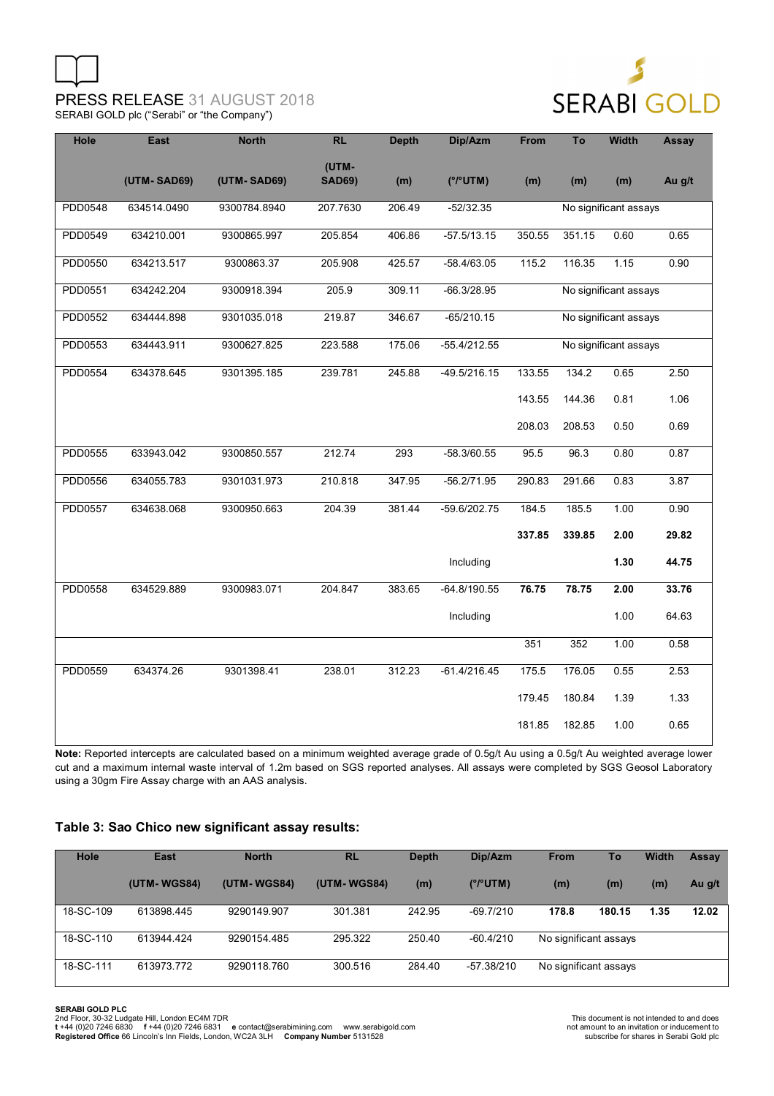

| Hole    | <b>East</b> | <b>North</b> | <b>RL</b>              | <b>Depth</b> | Dip/Azm        | From   | To     | <b>Width</b>          | Assay            |
|---------|-------------|--------------|------------------------|--------------|----------------|--------|--------|-----------------------|------------------|
|         | (UTM-SAD69) | (UTM-SAD69)  | (UTM-<br><b>SAD69)</b> | (m)          | (°/°UTM)       | (m)    | (m)    | (m)                   | Au g/t           |
| PDD0548 | 634514.0490 | 9300784.8940 | 207.7630               | 206.49       | $-52/32.35$    |        |        | No significant assays |                  |
| PDD0549 | 634210.001  | 9300865.997  | 205.854                | 406.86       | $-57.5/13.15$  | 350.55 | 351.15 | 0.60                  | 0.65             |
| PDD0550 | 634213.517  | 9300863.37   | 205.908                | 425.57       | $-58.4/63.05$  | 115.2  | 116.35 | 1.15                  | 0.90             |
| PDD0551 | 634242.204  | 9300918.394  | 205.9                  | 309.11       | $-66.3/28.95$  |        |        | No significant assays |                  |
| PDD0552 | 634444.898  | 9301035.018  | 219.87                 | 346.67       | $-65/210.15$   |        |        | No significant assays |                  |
| PDD0553 | 634443.911  | 9300627.825  | 223.588                | 175.06       | $-55.4/212.55$ |        |        | No significant assays |                  |
| PDD0554 | 634378.645  | 9301395.185  | 239.781                | 245.88       | $-49.5/216.15$ | 133.55 | 134.2  | 0.65                  | 2.50             |
|         |             |              |                        |              |                | 143.55 | 144.36 | 0.81                  | 1.06             |
|         |             |              |                        |              |                | 208.03 | 208.53 | 0.50                  | 0.69             |
| PDD0555 | 633943.042  | 9300850.557  | 212.74                 | 293          | $-58.3/60.55$  | 95.5   | 96.3   | 0.80                  | 0.87             |
| PDD0556 | 634055.783  | 9301031.973  | 210.818                | 347.95       | $-56.2/71.95$  | 290.83 | 291.66 | 0.83                  | $\frac{1}{3.87}$ |
| PDD0557 | 634638.068  | 9300950.663  | 204.39                 | 381.44       | -59.6/202.75   | 184.5  | 185.5  | 1.00                  | 0.90             |
|         |             |              |                        |              |                | 337.85 | 339.85 | 2.00                  | 29.82            |
|         |             |              |                        |              | Including      |        |        | 1.30                  | 44.75            |
| PDD0558 | 634529.889  | 9300983.071  | 204.847                | 383.65       | $-64.8/190.55$ | 76.75  | 78.75  | 2.00                  | 33.76            |
|         |             |              |                        |              | Including      |        |        | 1.00                  | 64.63            |
|         |             |              |                        |              |                | 351    | 352    | 1.00                  | 0.58             |
| PDD0559 | 634374.26   | 9301398.41   | 238.01                 | 312.23       | $-61.4/216.45$ | 175.5  | 176.05 | 0.55                  | 2.53             |
|         |             |              |                        |              |                | 179.45 | 180.84 | 1.39                  | 1.33             |
|         |             |              |                        |              |                | 181.85 | 182.85 | 1.00                  | 0.65             |

Note: Reported intercepts are calculated based on a minimum weighted average grade of 0.5g/t Au using a 0.5g/t Au weighted average lower cut and a maximum internal waste interval of 1.2m based on SGS reported analyses. All assays were completed by SGS Geosol Laboratory using a 30gm Fire Assay charge with an AAS analysis.

#### **Table 3: Sao Chico new significant assay results:**

| Hole      | <b>East</b> | <b>North</b> | <b>RL</b>   | <b>Depth</b> | Dip/Azm     | <b>From</b>           | <b>To</b> | <b>Width</b> | Assay  |
|-----------|-------------|--------------|-------------|--------------|-------------|-----------------------|-----------|--------------|--------|
|           | (UTM-WGS84) | (UTM-WGS84)  | (UTM-WGS84) | (m)          | (°/°UTM)    | (m)                   | (m)       | (m)          | Au g/t |
| 18-SC-109 | 613898.445  | 9290149.907  | 301.381     | 242.95       | $-69.7/210$ | 178.8                 | 180.15    | 1.35         | 12.02  |
| 18-SC-110 | 613944.424  | 9290154.485  | 295.322     | 250.40       | $-60.4/210$ | No significant assays |           |              |        |
| 18-SC-111 | 613973.772  | 9290118.760  | 300.516     | 284.40       | -57.38/210  | No significant assays |           |              |        |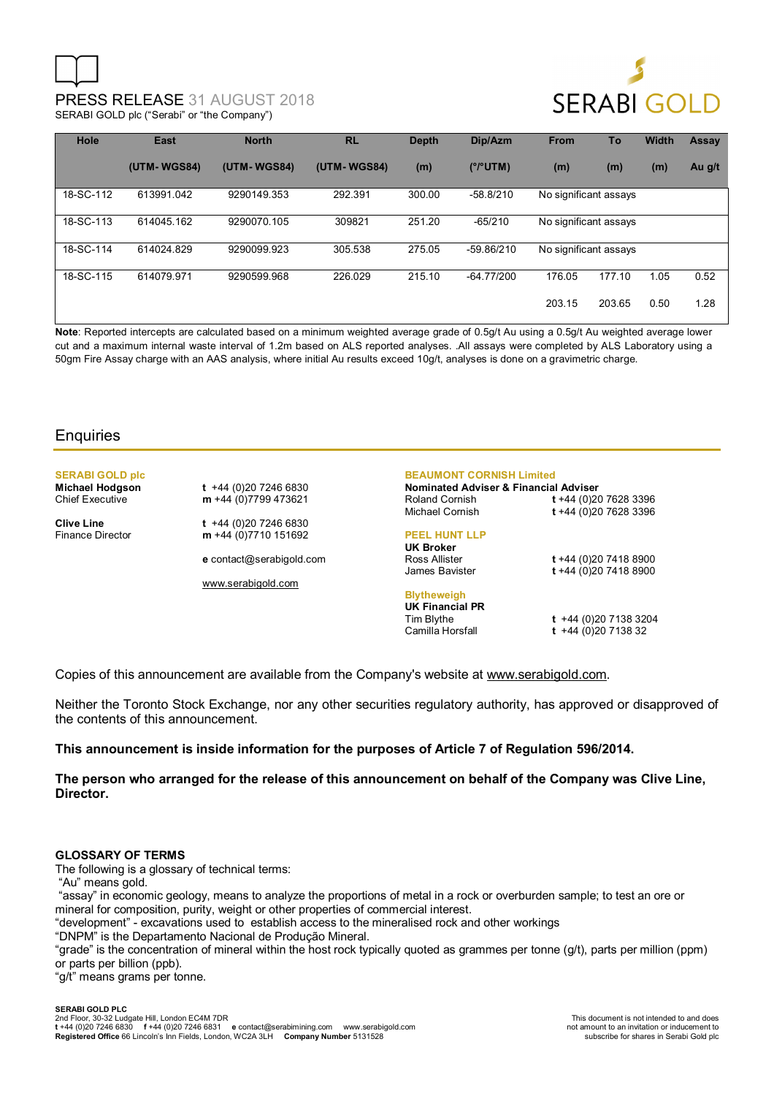

| Hole      | East        | <b>North</b> | <b>RL</b>   | <b>Depth</b> | Dip/Azm      | <b>From</b>           | To     | <b>Width</b> | <b>Assay</b> |
|-----------|-------------|--------------|-------------|--------------|--------------|-----------------------|--------|--------------|--------------|
|           | (UTM-WGS84) | (UTM-WGS84)  | (UTM-WGS84) | (m)          | (°/°UTM)     | (m)                   | (m)    | (m)          | Au g/t       |
| 18-SC-112 | 613991.042  | 9290149.353  | 292.391     | 300.00       | $-58.8/210$  | No significant assays |        |              |              |
| 18-SC-113 | 614045.162  | 9290070.105  | 309821      | 251.20       | $-65/210$    | No significant assays |        |              |              |
| 18-SC-114 | 614024.829  | 9290099.923  | 305.538     | 275.05       | -59.86/210   | No significant assays |        |              |              |
| 18-SC-115 | 614079.971  | 9290599.968  | 226.029     | 215.10       | $-64.77/200$ | 176.05                | 177.10 | 1.05         | 0.52         |
|           |             |              |             |              |              | 203.15                | 203.65 | 0.50         | 1.28         |

**Note**: Reported intercepts are calculated based on a minimum weighted average grade of 0.5g/t Au using a 0.5g/t Au weighted average lower cut and a maximum internal waste interval of 1.2m based on ALS reported analyses. .All assays were completed by ALS Laboratory using a 50gm Fire Assay charge with an AAS analysis, where initial Au results exceed 10g/t, analyses is done on a gravimetric charge.

### **Enquiries**

## **SERABI GOLD plc**

**Michael Hodgson t** +44 (0)20 7246 6830 Chief Executive **m** +44 (0)7799 473621

**Clive Line** t +44 (0)20 7246 6830<br>Finance Director **m** +44 (0)7710 151692 m +44 (0)7710 151692

**e** contact@serabigold.com

www.serabigold.com

#### **BEAUMONT CORNISH Limited**

**Nominated Adviser & Financial Adviser**  Roland Cornish **t** +44 (0)20 7628 3396 Michael Cornish **t** +44 (0)20 7628 3396

### **PEEL HUNT LLP**

**UK Broker**

Ross Allister **t** +44 (0)20 7418 8900 James Bavister **t** +44 (0)20 7418 8900

**Blytheweigh UK Financial PR** 

Tim Blythe **t** +44 (0)20 7138 3204  $t +44 (0)20 7138 32$ 

Copies of this announcement are available from the Company's website at www.serabigold.com.

Neither the Toronto Stock Exchange, nor any other securities regulatory authority, has approved or disapproved of the contents of this announcement.

#### **This announcement is inside information for the purposes of Article 7 of Regulation 596/2014.**

**The person who arranged for the release of this announcement on behalf of the Company was Clive Line, Director.** 

#### **GLOSSARY OF TERMS**

The following is a glossary of technical terms:

"Au" means gold.

 "assay" in economic geology, means to analyze the proportions of metal in a rock or overburden sample; to test an ore or mineral for composition, purity, weight or other properties of commercial interest.

"development" - excavations used to establish access to the mineralised rock and other workings

"DNPM" is the Departamento Nacional de Produção Mineral.

"grade" is the concentration of mineral within the host rock typically quoted as grammes per tonne (g/t), parts per million (ppm) or parts per billion (ppb).

"g/t" means grams per tonne.